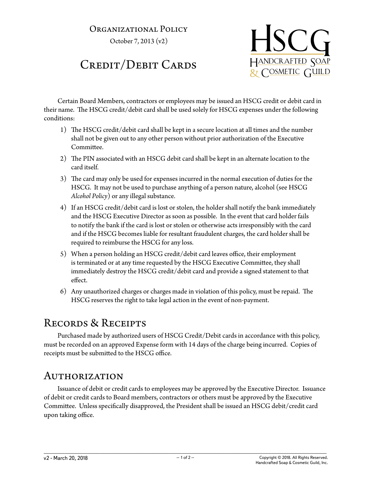## Organizational Policy

October 7, 2013 (v2)

## Credit/Debit Cards



Certain Board Members, contractors or employees may be issued an HSCG credit or debit card in their name. The HSCG credit/debit card shall be used solely for HSCG expenses under the following conditions:

- 1) The HSCG credit/debit card shall be kept in a secure location at all times and the number shall not be given out to any other person without prior authorization of the Executive Committee.
- 2) The PIN associated with an HSCG debit card shall be kept in an alternate location to the card itself.
- 3) The card may only be used for expenses incurred in the normal execution of duties for the HSCG. It may not be used to purchase anything of a person nature, alcohol (see HSCG *Alcohol Policy*) or any illegal substance.
- 4) If an HSCG credit/debit card is lost or stolen, the holder shall notify the bank immediately and the HSCG Executive Director as soon as possible. In the event that card holder fails to notify the bank if the card is lost or stolen or otherwise acts irresponsibly with the card and if the HSCG becomes liable for resultant fraudulent charges, the card holder shall be required to reimburse the HSCG for any loss.
- 5) When a person holding an HSCG credit/debit card leaves office, their employment is terminated or at any time requested by the HSCG Executive Committee, they shall immediately destroy the HSCG credit/debit card and provide a signed statement to that effect.
- 6) Any unauthorized charges or charges made in violation of this policy, must be repaid. The HSCG reserves the right to take legal action in the event of non-payment.

## Records & Receipts

Purchased made by authorized users of HSCG Credit/Debit cards in accordance with this policy, must be recorded on an approved Expense form with 14 days of the charge being incurred. Copies of receipts must be submitted to the HSCG office.

## Authorization

Issuance of debit or credit cards to employees may be approved by the Executive Director. Issuance of debit or credit cards to Board members, contractors or others must be approved by the Executive Committee. Unless specifically disapproved, the President shall be issued an HSCG debit/credit card upon taking office.